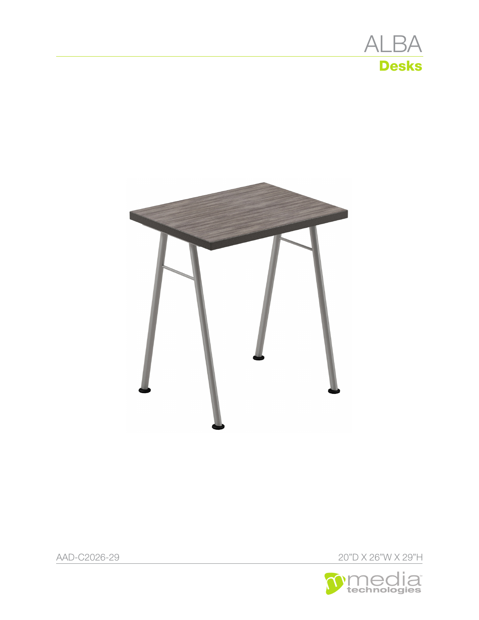



AAD-C2026-29 20"D X 26"W X 29"H